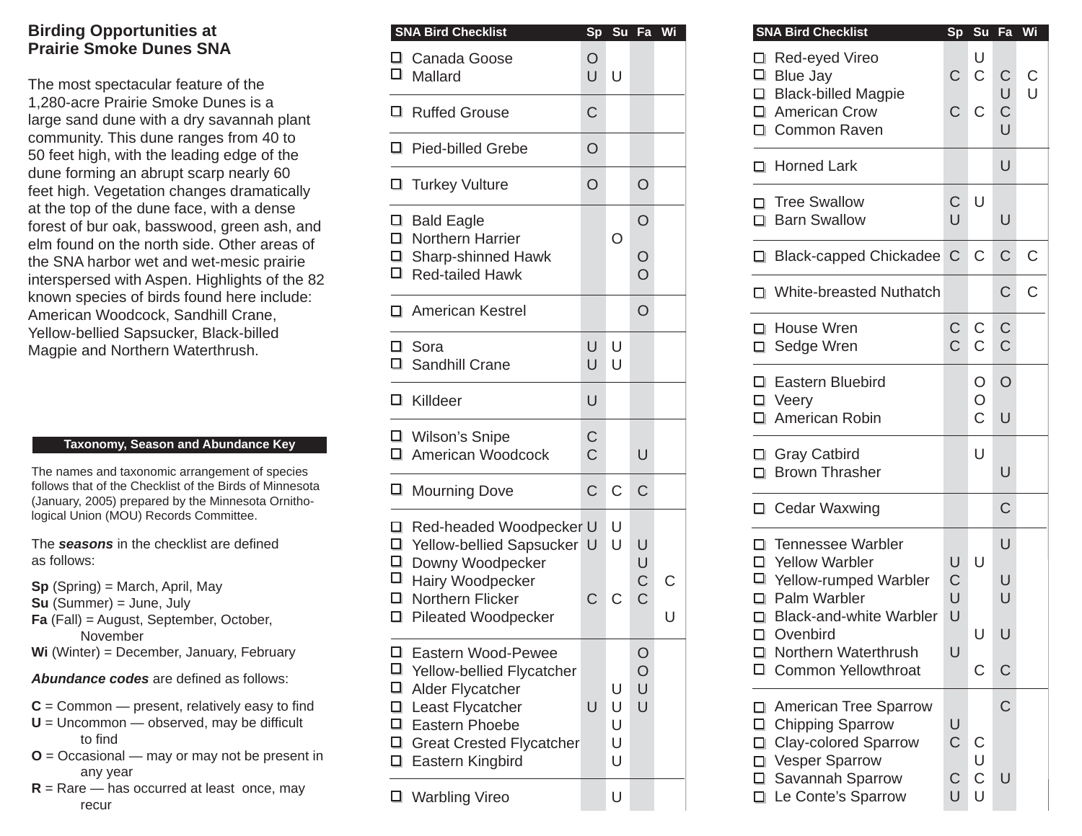## **Birding Opportunities at Prairie Smoke Dunes SNA**

The most spectacular feature of the 1,280-acre Prairie Smoke Dunes is a large sand dune with a dry savannah plant community. This dune ranges from 40 to 50 feet high, with the leading edge of the dune forming an abrupt scarp nearly 60 feet high. Vegetation changes dramatically at the top of the dune face, with a dense forest of bur oak, basswood, green ash, and elm found on the north side. Other areas of the SNA harbor wet and wet-mesic prairie interspersed with Aspen. Highlights of the 82 known species of birds found here include: American Woodcock, Sandhill Crane, Yellow-bellied Sapsucker, Black-billed Magpie and Northern Waterthrush.

## **Taxonomy, Season and Abundance Key**

The names and taxonomic arrangement of species follows that of the Checklist of the Birds of Minnesota (January, 2005) prepared by the Minnesota Ornithological Union (MOU) Records Committee.

The **seasons** in the checklist are defined as follows:

- **Sp** (Spring) = March, April, May
- **Su** (Summer) = June, July
- **Fa** (Fall) = August, September, October, November
- **Wi** (Winter) = December, January, February

**Abundance codes** are defined as follows:

- $C =$  Common  $-$  present, relatively easy to find
- $U =$  Uncommon  $-$  observed, may be difficult to find
- **O** = Occasional may or may not be present in any year
- $R =$ Rare has occurred at least once, may recur

|                                      | <b>SNA Bird Checklist</b>                                                                                                                                          | Sp                            |                       | Su Fa                        | Wi |
|--------------------------------------|--------------------------------------------------------------------------------------------------------------------------------------------------------------------|-------------------------------|-----------------------|------------------------------|----|
| $\Box$                               | □ Canada Goose<br>Mallard                                                                                                                                          | O<br>U                        | U                     |                              |    |
| □                                    | <b>Ruffed Grouse</b>                                                                                                                                               | C                             |                       |                              |    |
| □                                    | <b>Pied-billed Grebe</b>                                                                                                                                           | O                             |                       |                              |    |
| ◻                                    | <b>Turkey Vulture</b>                                                                                                                                              | O                             |                       | O                            |    |
|                                      | $\Box$ Bald Eagle<br>□ Northern Harrier                                                                                                                            |                               | O                     | O                            |    |
| $\Box$                               | □ Sharp-shinned Hawk<br><b>Red-tailed Hawk</b>                                                                                                                     |                               |                       | $\frac{0}{0}$                |    |
|                                      | □ American Kestrel                                                                                                                                                 |                               |                       | O                            |    |
|                                      | $\Box$ Sora<br>□ Sandhill Crane                                                                                                                                    | U<br>U                        | U<br>U                |                              |    |
|                                      | $\Box$ Killdeer                                                                                                                                                    | U                             |                       |                              |    |
|                                      | □ Wilson's Snipe<br>□ American Woodcock                                                                                                                            | $\mathsf C$<br>$\overline{C}$ |                       | U                            |    |
| □                                    | <b>Mourning Dove</b>                                                                                                                                               | С                             | C                     | C                            |    |
|                                      | □ Red-headed Woodpecker U<br>□ Yellow-bellied Sapsucker<br>□ Downy Woodpecker                                                                                      | U                             | U<br>U                | U<br>U                       |    |
| $\Box$                               | □ Hairy Woodpecker<br>□ Northern Flicker<br><b>Pileated Woodpecker</b>                                                                                             | C                             | C                     | C<br>C                       | Ū  |
| □<br>□<br>□<br>$\Box$<br>$\Box$<br>□ | Eastern Wood-Pewee<br>Yellow-bellied Flycatcher<br>Alder Flycatcher<br>Least Flycatcher<br>□ Eastern Phoebe<br><b>Great Crested Flycatcher</b><br>Eastern Kingbird | U                             | U<br>U<br>U<br>U<br>U | $\circ$<br>$\circ$<br>U<br>U |    |
| ◻                                    | <b>Warbling Vireo</b>                                                                                                                                              |                               | U                     |                              |    |

| <b>SNA Bird Checklist</b>                                                                                                                    |                     | Sp Su Fa              |                                      | Wi               | <b>SNA Bird Checklist</b>                                                    |                                                                               |                                | Sp Su Fa                     |                             | Wi |
|----------------------------------------------------------------------------------------------------------------------------------------------|---------------------|-----------------------|--------------------------------------|------------------|------------------------------------------------------------------------------|-------------------------------------------------------------------------------|--------------------------------|------------------------------|-----------------------------|----|
| Canada Goose<br>I Mallard                                                                                                                    | $\circ$<br>U        | $\cup$                |                                      |                  | Red-eyed Vireo<br>$\Box$ Blue Jay                                            | □ Black-billed Magpie                                                         |                                | U<br>$\mathsf C$             | $\mathsf C$<br>U            |    |
| Ruffed Grouse                                                                                                                                | $\mathsf{C}$        |                       |                                      |                  | □ American Crow<br>□ Common Raven                                            |                                                                               | $\mathsf C$                    | $\mathsf C$                  | $\overline{C}$<br>$\cup$    |    |
| Pied-billed Grebe                                                                                                                            | $\circ$             |                       |                                      |                  | □ Horned Lark                                                                |                                                                               |                                |                              | $\cup$                      |    |
| Turkey Vulture                                                                                                                               | $\circ$             |                       | $\circ$                              |                  | □ Tree Swallow                                                               |                                                                               | $\mathsf{C}$                   | $\cup$                       |                             |    |
| Bald Eagle<br>I Northern Harrier                                                                                                             |                     | $\circ$               | $\overline{O}$                       |                  | □ Barn Swallow                                                               |                                                                               | $\cup$                         |                              | $\cup$                      |    |
| Sharp-shinned Hawk<br>Red-tailed Hawk                                                                                                        |                     |                       | $\circ$<br>$\overline{O}$            |                  |                                                                              | □ Black-capped Chickadee C                                                    |                                | $\mathsf{C}$                 | $\mathsf C$                 |    |
| American Kestrel                                                                                                                             |                     |                       | $\circ$                              |                  |                                                                              | □ White-breasted Nuthatch                                                     |                                |                              | $\mathsf C$                 |    |
| I Sora<br>Sandhill Crane                                                                                                                     | U<br>$\cup$         | U<br>I U              |                                      |                  | □ House Wren<br>□ Sedge Wren                                                 |                                                                               | $\mathsf{C}$<br>$\overline{C}$ | $\mathsf{C}$<br>$\mathsf{C}$ | $\mathsf C$<br>$\mathsf{C}$ |    |
| I Killdeer                                                                                                                                   | U                   |                       |                                      |                  | □ Eastern Bluebird<br>□ Veery                                                |                                                                               |                                | O<br>O<br>$\mathsf C$        | $\circ$                     |    |
| Wilson's Snipe<br>I American Woodcock                                                                                                        | C<br>$\overline{C}$ |                       | $\cup$                               |                  | □ American Robin<br>□ Gray Catbird                                           |                                                                               |                                | U                            | U                           |    |
| □ Mourning Dove                                                                                                                              | $\mathsf C$         | C                     | $\mathsf C$                          |                  | □ Brown Thrasher<br>□ Cedar Waxwing                                          |                                                                               |                                |                              | $\cup$<br>$\mathsf C$       |    |
| Red-headed Woodpecker U<br>I Yellow-bellied Sapsucker U<br>Downy Woodpecker<br>Hairy Woodpecker<br>I Northern Flicker<br>Pileated Woodpecker | $\mathsf{C}$        | U<br>U<br>$\mathsf C$ | U<br>U<br>$\mathsf C$<br>$\mathsf C$ | $\mathsf C$<br>U | □ Tennessee Warbler<br>□ Yellow Warbler<br>$\Box$ Palm Warbler<br>□ Ovenbird | □ Yellow-rumped Warbler<br><b>Black-and-white Warbler</b>                     | U<br>$\mathsf C$<br>U<br>U     | $\cup$<br>U                  | $\cup$<br>U<br>U<br>$\cup$  |    |
| I Eastern Wood-Pewee<br>I Yellow-bellied Flycatcher<br>□ Alder Flycatcher<br>Least Flycatcher                                                | U                   | U<br>U                | O<br>$\circ$<br>U<br>$\cup$          |                  |                                                                              | □ Northern Waterthrush<br><b>Common Yellowthroat</b><br>American Tree Sparrow | U                              | $\mathsf C$                  | $\mathsf{C}$<br>$\mathsf C$ |    |
| 1 Eastern Phoebe<br>Great Crested Flycatcher<br>□ Eastern Kingbird                                                                           |                     | U<br>U<br>U           |                                      |                  | $\Box$ Chipping Sparrow<br>□.<br>Vesper Sparrow<br>□ Savannah Sparrow        | <b>Clay-colored Sparrow</b>                                                   | U<br>$\mathsf C$<br>C          | C<br>U<br>$\mathsf C$        | U                           |    |
| ■ Warbling Vireo                                                                                                                             |                     | U                     |                                      |                  |                                                                              | Le Conte's Sparrow                                                            | U                              | U                            |                             |    |